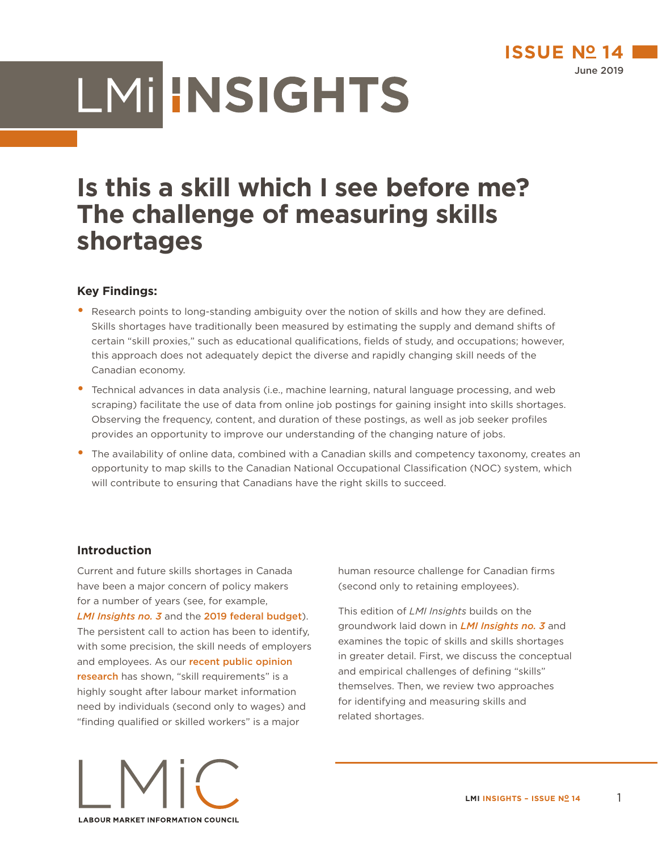

# LMI INSIGHTS

# **Is this a skill which I see before me? The challenge of measuring skills shortages**

# **Key Findings:**

- Research points to long-standing ambiguity over the notion of skills and how they are defined. Skills shortages have traditionally been measured by estimating the supply and demand shifts of certain "skill proxies," such as educational qualifications, fields of study, and occupations; however, this approach does not adequately depict the diverse and rapidly changing skill needs of the Canadian economy.
- **•** Technical advances in data analysis (i.e., machine learning, natural language processing, and web scraping) facilitate the use of data from online job postings for gaining insight into skills shortages. Observing the frequency, content, and duration of these postings, as well as job seeker profiles provides an opportunity to improve our understanding of the changing nature of jobs.
- The availability of online data, combined with a Canadian skills and competency taxonomy, creates an opportunity to map skills to the Canadian National Occupational Classification (NOC) system, which will contribute to ensuring that Canadians have the right skills to succeed.

# **Introduction**

Current and future skills shortages in Canada have been a major concern of policy makers for a number of years (see, for example, *[LMI Insights no. 3](https://buff.ly/2GyKKYQ)* and the [2019 federal budget](https://budget.gc.ca/2019/docs/themes/good-jobs-de-bons-emplois-en.html)). The persistent call to action has been to identify, with some precision, the skill needs of employers and employees. As our recent public opinion [research](https://lmic-cimt.ca/lmi-interactive-dashboard/) has shown, "skill requirements" is a highly sought after labour market information need by individuals (second only to wages) and "finding qualified or skilled workers" is a major



This edition of *LMI Insights* builds on the groundwork laid down in *[LMI Insights no. 3](https://buff.ly/2GyKKYQ)* and examines the topic of skills and skills shortages in greater detail. First, we discuss the conceptual and empirical challenges of defining "skills" themselves. Then, we review two approaches for identifying and measuring skills and related shortages.

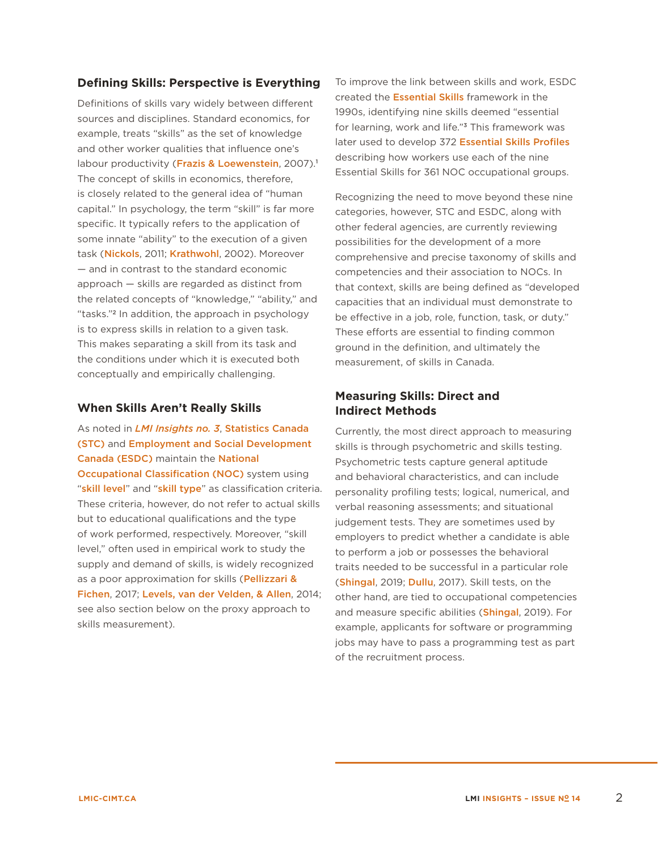# **Defining Skills: Perspective is Everything**

Definitions of skills vary widely between different sources and disciplines. Standard economics, for example, treats "skills" as the set of knowledge and other worker qualities that influence one's labour productivity ([Frazis & Loewenstein](http://dx.doi.org/10.1561/0700000008), 2007).<sup>1</sup> The concept of skills in economics, therefore, is closely related to the general idea of "human capital." In psychology, the term "skill" is far more specific. It typically refers to the application of some innate "ability" to the execution of a given task ([Nickols](https://nickols.us/TJ_TaskvsSkill.pdf), 2011; [Krathwohl](https://doi.org/10.1207/s15430421tip4104_2), 2002). Moreover — and in contrast to the standard economic approach — skills are regarded as distinct from the related concepts of "knowledge," "ability," and "tasks."2 In addition, the approach in psychology is to express skills in relation to a given task. This makes separating a skill from its task and the conditions under which it is executed both conceptually and empirically challenging.

# **When Skills Aren't Really Skills**

As noted in *[LMI Insights no. 3](https://buff.ly/2GyKKYQ)*, [Statistics Canada](https://www.statcan.gc.ca/eng/start)  [\(STC\)](https://www.statcan.gc.ca/eng/start) and [Employment and Social Development](https://www.canada.ca/en/employment-social-development.html)  [Canada](https://www.canada.ca/en/employment-social-development.html) (ESDC) maintain the [National](https://www.statcan.gc.ca/eng/concepts/occupation)  **[Occupational Classification \(NOC\)](https://www.statcan.gc.ca/eng/concepts/occupation)** system using "[skill level](https://www.statcan.gc.ca/eng/subjects/standard/noc/2016/introduction#a6.1)" and "[skill type](https://www.statcan.gc.ca/eng/subjects/standard/noc/2016/introduction#a6.2)" as classification criteria. These criteria, however, do not refer to actual skills but to educational qualifications and the type of work performed, respectively. Moreover, "skill level," often used in empirical work to study the supply and demand of skills, is widely recognized as a poor approximation for skills (Pellizzari & [Fichen](http://dx.doi.org/10.1186/s40172-016-0051-y), 2017; [Levels, van der Velden, & Allen](http://repec.economicsofeducation.com/2014valencia/09-34.pdf), 2014; see also section below on the proxy approach to skills measurement).

To improve the link between skills and work, ESDC created the [Essential Skills](https://www.canada.ca/en/employment-social-development/programs/essential-skills/tools/what-aresential-skills.html) framework in the 1990s, identifying nine skills deemed "essential for learning, work and life."3 This framework was later used to develop 372 [Essential Skills Profiles](https://www.canada.ca/en/employment-social-development/programs/essential-skills/profiles.html) describing how workers use each of the nine Essential Skills for 361 NOC occupational groups.

Recognizing the need to move beyond these nine categories, however, STC and ESDC, along with other federal agencies, are currently reviewing possibilities for the development of a more comprehensive and precise taxonomy of skills and competencies and their association to NOCs. In that context, skills are being defined as "developed capacities that an individual must demonstrate to be effective in a job, role, function, task, or duty." These efforts are essential to finding common ground in the definition, and ultimately the measurement, of skills in Canada.

# **Measuring Skills: Direct and Indirect Methods**

Currently, the most direct approach to measuring skills is through psychometric and skills testing. Psychometric tests capture general aptitude and behavioral characteristics, and can include personality profiling tests; logical, numerical, and verbal reasoning assessments; and situational judgement tests. They are sometimes used by employers to predict whether a candidate is able to perform a job or possesses the behavioral traits needed to be successful in a particular role ([Shingal](https://blog.mettl.com/talent-hub/mettl-psychometric-tests-vs-skill-tests), 2019; [Dullu](https://indvstrvs.com/psychometric-tests/), 2017). Skill tests, on the other hand, are tied to occupational competencies and measure specific abilities ([Shingal](https://blog.mettl.com/talent-hub/mettl-psychometric-tests-vs-skill-tests), 2019). For example, applicants for software or programming jobs may have to pass a programming test as part of the recruitment process.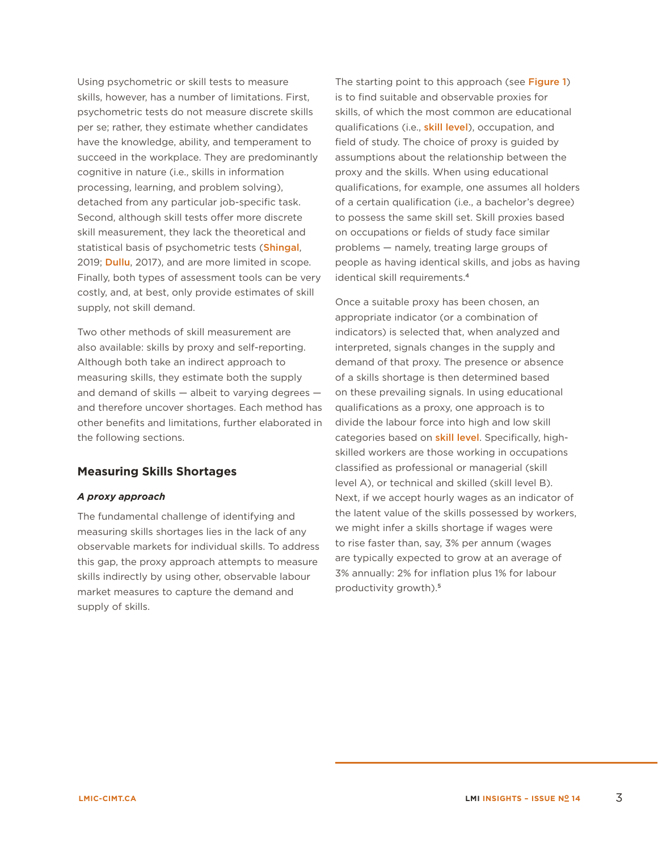Using psychometric or skill tests to measure skills, however, has a number of limitations. First, psychometric tests do not measure discrete skills per se; rather, they estimate whether candidates have the knowledge, ability, and temperament to succeed in the workplace. They are predominantly cognitive in nature (i.e., skills in information processing, learning, and problem solving), detached from any particular job-specific task. Second, although skill tests offer more discrete skill measurement, they lack the theoretical and statistical basis of psychometric tests ([Shingal](https://blog.mettl.com/talent-hub/mettl-psychometric-tests-vs-skill-tests), 2019; **[Dullu](https://indvstrvs.com/psychometric-tests/)**, 2017), and are more limited in scope. Finally, both types of assessment tools can be very costly, and, at best, only provide estimates of skill supply, not skill demand.

Two other methods of skill measurement are also available: skills by proxy and self-reporting. Although both take an indirect approach to measuring skills, they estimate both the supply and demand of skills — albeit to varying degrees and therefore uncover shortages. Each method has other benefits and limitations, further elaborated in the following sections.

## **Measuring Skills Shortages**

#### *A proxy approach*

The fundamental challenge of identifying and measuring skills shortages lies in the lack of any observable markets for individual skills. To address this gap, the proxy approach attempts to measure skills indirectly by using other, observable labour market measures to capture the demand and supply of skills.

The starting point to this approach (see [Figure 1](#page-3-0)) is to find suitable and observable proxies for skills, of which the most common are educational qualifications (i.e., [skill level](https://www.statcan.gc.ca/eng/subjects/standard/noc/2016/introduction#a6.1)), occupation, and field of study. The choice of proxy is guided by assumptions about the relationship between the proxy and the skills. When using educational qualifications, for example, one assumes all holders of a certain qualification (i.e., a bachelor's degree) to possess the same skill set. Skill proxies based on occupations or fields of study face similar problems — namely, treating large groups of people as having identical skills, and jobs as having identical skill requirements.<sup>4</sup>

Once a suitable proxy has been chosen, an appropriate indicator (or a combination of indicators) is selected that, when analyzed and interpreted, signals changes in the supply and demand of that proxy. The presence or absence of a skills shortage is then determined based on these prevailing signals. In using educational qualifications as a proxy, one approach is to divide the labour force into high and low skill categories based on **[skill level](https://www.statcan.gc.ca/eng/subjects/standard/noc/2016/introduction#a6.1)**. Specifically, highskilled workers are those working in occupations classified as professional or managerial (skill level A), or technical and skilled (skill level B). Next, if we accept hourly wages as an indicator of the latent value of the skills possessed by workers, we might infer a skills shortage if wages were to rise faster than, say, 3% per annum (wages are typically expected to grow at an average of 3% annually: 2% for inflation plus 1% for labour productivity growth).5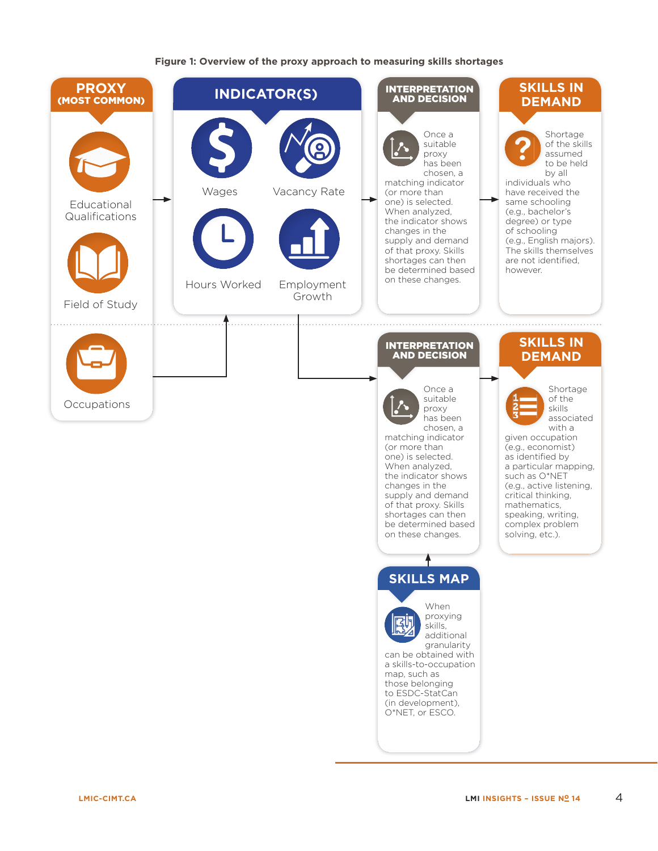#### <span id="page-3-0"></span>**Figure 1: Overview of the proxy approach to measuring skills shortages**

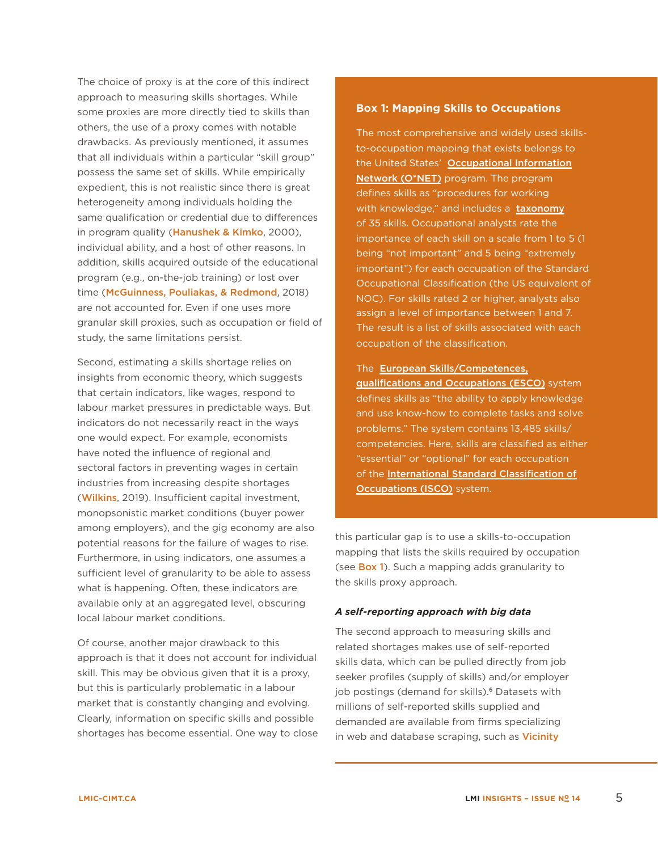The choice of proxy is at the core of this indirect approach to measuring skills shortages. While some proxies are more directly tied to skills than others, the use of a proxy comes with notable drawbacks. As previously mentioned, it assumes that all individuals within a particular "skill group" possess the same set of skills. While empirically expedient, this is not realistic since there is great heterogeneity among individuals holding the same qualification or credential due to differences in program quality (**[Hanushek & Kimko](https://www.aeaweb.org/articles?id=10.1257/aer.90.5.1184)**, 2000), individual ability, and a host of other reasons. In addition, skills acquired outside of the educational program (e.g., on-the-job training) or lost over time ([McGuinness, Pouliakas, & Redmond](https://doi.org/10.1111/joes.12254), 2018) are not accounted for. Even if one uses more granular skill proxies, such as occupation or field of study, the same limitations persist.

Second, estimating a skills shortage relies on insights from economic theory, which suggests that certain indicators, like wages, respond to labour market pressures in predictable ways. But indicators do not necessarily react in the ways one would expect. For example, economists have noted the influence of regional and sectoral factors in preventing wages in certain industries from increasing despite shortages ([Wilkins](https://www.bankofcanada.ca/2019/01/look-under-hood-canadas-job-market/), 2019). Insufficient capital investment, monopsonistic market conditions (buyer power among employers), and the gig economy are also potential reasons for the failure of wages to rise. Furthermore, in using indicators, one assumes a sufficient level of granularity to be able to assess what is happening. Often, these indicators are available only at an aggregated level, obscuring local labour market conditions.

Of course, another major drawback to this approach is that it does not account for individual skill. This may be obvious given that it is a proxy, but this is particularly problematic in a labour market that is constantly changing and evolving. Clearly, information on specific skills and possible shortages has become essential. One way to close

#### <span id="page-4-0"></span>**Box 1: Mapping Skills to Occupations**

The most comprehensive and widely used skillsto-occupation mapping that exists belongs to the United States' Occupational Information [Network \(O\\*NET\)](https://www.onetcenter.org/) program. The program defines skills as "procedures for working with knowledge," and includes a [taxonomy](https://www.onetonline.org/skills/) of 35 skills. Occupational analysts rate the importance of each skill on a scale from 1 to 5 (1 being "not important" and 5 being "extremely important") for each occupation of the Standard Occupational Classification (the US equivalent of NOC). For skills rated 2 or higher, analysts also assign a level of importance between 1 and 7. The result is a list of skills associated with each occupation of the classification.

#### The [European Skills/Competences,](https://ec.europa.eu/esco/portal)

[qualifications and Occupations \(ESCO\)](https://ec.europa.eu/esco/portal) system defines skills as "the ability to apply knowledge and use know-how to complete tasks and solve problems." The system contains 13,485 skills/ competencies. Here, skills are classified as either "essential" or "optional" for each occupation of the [International Standard Classification of](https://www.ilo.org/public/english/bureau/stat/isco/)  **[Occupations \(ISCO\)](https://www.ilo.org/public/english/bureau/stat/isco/)** system.

this particular gap is to use a skills-to-occupation mapping that lists the skills required by occupation (see **[Box 1](#page-4-0)**). Such a mapping adds granularity to the skills proxy approach.

#### *A self-reporting approach with big data*

The second approach to measuring skills and related shortages makes use of self-reported skills data, which can be pulled directly from job seeker profiles (supply of skills) and/or employer job postings (demand for skills).<sup>6</sup> Datasets with millions of self-reported skills supplied and demanded are available from firms specializing in web and database scraping, such as Vicinity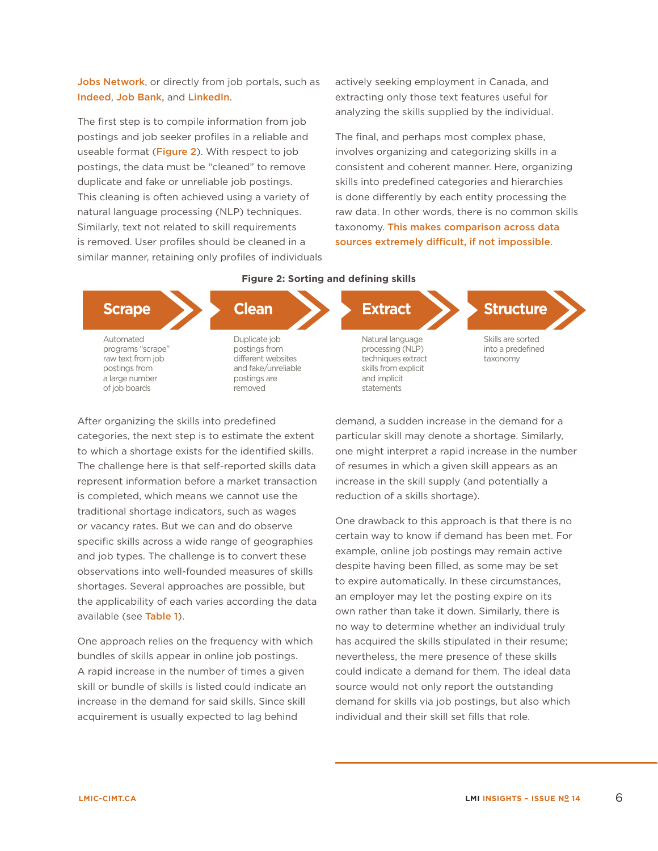[Jobs Network](http://www.vicinityjobs.com/), or directly from job portals, such as [Indeed](https://www.indeed.ca/), [Job Bank,](https://www.jobbank.gc.ca/home) and [LinkedIn](https://www.linkedin.com/).

The first step is to compile information from job postings and job seeker profiles in a reliable and useable format ([Figure 2](#page-5-0)). With respect to job postings, the data must be "cleaned" to remove duplicate and fake or unreliable job postings. This cleaning is often achieved using a variety of natural language processing (NLP) techniques. Similarly, text not related to skill requirements is removed. User profiles should be cleaned in a similar manner, retaining only profiles of individuals actively seeking employment in Canada, and extracting only those text features useful for analyzing the skills supplied by the individual.

<span id="page-5-0"></span>The final, and perhaps most complex phase, involves organizing and categorizing skills in a consistent and coherent manner. Here, organizing skills into predefined categories and hierarchies is done differently by each entity processing the raw data. In other words, there is no common skills taxonomy. [This makes comparison across data](https://www.slideshare.net/StevenTobin4/skills-for-the-workplace-of-tomorrow)  [sources extremely difficult, if not impossible](https://www.slideshare.net/StevenTobin4/skills-for-the-workplace-of-tomorrow).



to which a shortage exists for the identified skills.<br>The challenge here is that self-reported skills data npieted, which ional chortag poster of the set or vacancy rates. But we can and do observe specific skills across a wide range of geographies is completed, which means we cannot use the uch as warner traditional shortage indicators, such as wages After organizing the skills into predefined categories, the next step is to estimate the extent to which a shortage exists for the identified skills. represent information before a market transaction and job types. The challenge is to convert these observations into well-founded measures of skills shortages. Several approaches are possible, but the applicability of each varies according the data available (see [Table 1](#page-6-0)).

**Scrape** One approach relies on the frequency with which bundles of skills appear in online job postings. A rapid increase in the number of times a given ra<br>Kraw text from job je po je po je po je po je po je po je po je po je po je po je po je po je po je po je po j  $\frac{1}{2}$  purique  $\frac{1}{2}$ increase in the demand for said skills. Since skill of job boards postings are dia<br>Geboortes skill or bundle of skills is listed could indicate an acquirement is usually expected to lag behind

reduction of a skills shortage). Skills are sorted e identified skills. The might interpret a rapid increase in the num<br>ported skills data The fresumes in which a given skill appears as an demand, a sudden increase in the demand for a particular skill may denote a shortage. Similarly, one might interpret a rapid increase in the number increase in the skill supply (and potentially a

drowhook to One drawback to this approach is that there is no certain way to know if demand has been met. For nevertheless, the mere presence of these skills could indicate a demand for them. The ideal data techniques extractives extensions and the set of the set of the set of the set of the set of the set of the se skills from the control of the control of the control of the control of the control of the control of the control of the control of the control of the control of the control of the control of the control of the control of demand for skills via job postings, but also which individual and their skill set fills that role. source would not only report the outstanding **Clean Extracts Clean Extracts Clean Clean Clean Clean Clean Clean Clean Clean Clean Clean Clean Clean Clean Clean Clean Clean Clean Clean Clean Clean Clean Clean Clean** example, online job postings may remain active despite having been filled, as some may be set to expire automatically. In these circumstances, an employer may let the posting expire on its own rather than take it down. Similarly, there is has acquired the skills stipulated in their resume;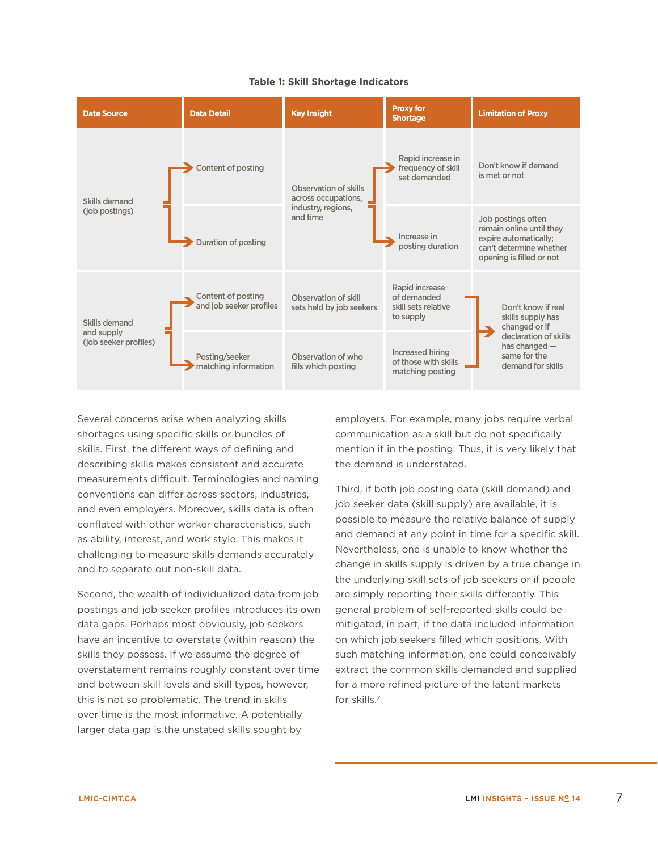

#### <span id="page-6-0"></span>**Table 1: Skill Shortage Indicators**

Several concerns arise when analyzing skills shortages using specific skills or bundles of skills. First, the different ways of defining and describing skills makes consistent and accurate measurements difficult. Terminologies and naming conventions can differ across sectors, industries, and even employers. Moreover, skills data is often conflated with other worker characteristics, such as ability, interest, and work style. This makes it challenging to measure skills demands accurately and to separate out non-skill data.

Second, the wealth of individualized data from job postings and job seeker profiles introduces its own data gaps. Perhaps most obviously, job seekers have an incentive to overstate (within reason) the skills they possess. If we assume the degree of overstatement remains roughly constant over time and between skill levels and skill types, however, this is not so problematic. The trend in skills over time is the most informative. A potentially larger data gap is the unstated skills sought by

employers. For example, many jobs require verbal communication as a skill but do not specifically mention it in the posting. Thus, it is very likely that the demand is understated.

Third, if both job posting data (skill demand) and job seeker data (skill supply) are available, it is possible to measure the relative balance of supply and demand at any point in time for a specific skill. Nevertheless, one is unable to know whether the change in skills supply is driven by a true change in the underlying skill sets of job seekers or if people are simply reporting their skills differently. This general problem of self-reported skills could be mitigated, in part, if the data included information on which job seekers filled which positions. With such matching information, one could conceivably extract the common skills demanded and supplied for a more refined picture of the latent markets for skills.<sup>7</sup>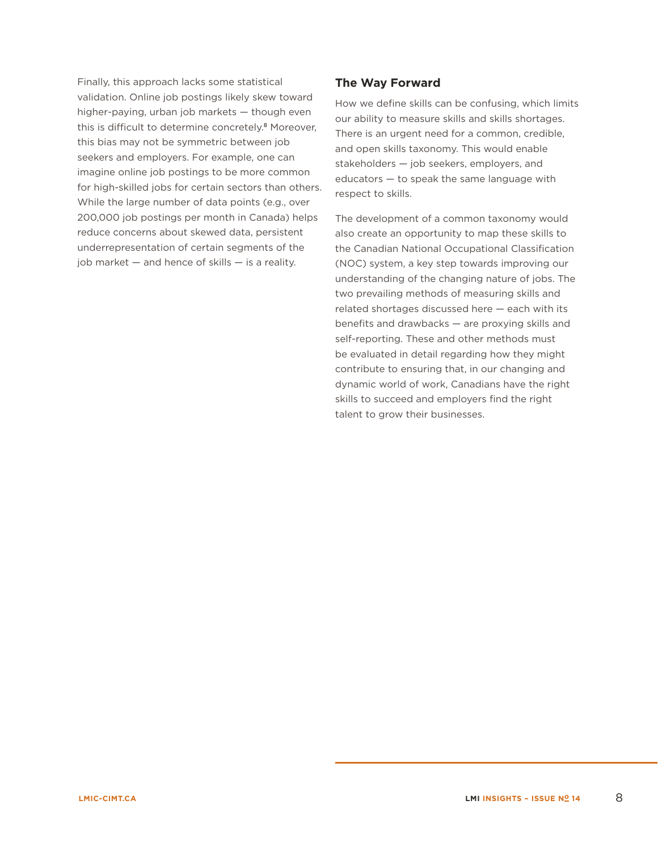Finally, this approach lacks some statistical validation. Online job postings likely skew toward higher-paying, urban job markets — though even this is difficult to determine concretely.<sup>8</sup> Moreover, this bias may not be symmetric between job seekers and employers. For example, one can imagine online job postings to be more common for high-skilled jobs for certain sectors than others. While the large number of data points (e.g., over 200,000 job postings per month in Canada) helps reduce concerns about skewed data, persistent underrepresentation of certain segments of the job market  $-$  and hence of skills  $-$  is a reality.

# **The Way Forward**

How we define skills can be confusing, which limits our ability to measure skills and skills shortages. There is an urgent need for a common, credible, and open skills taxonomy. This would enable stakeholders — job seekers, employers, and educators — to speak the same language with respect to skills.

The development of a common taxonomy would also create an opportunity to map these skills to the Canadian National Occupational Classification (NOC) system, a key step towards improving our understanding of the changing nature of jobs. The two prevailing methods of measuring skills and related shortages discussed here — each with its benefits and drawbacks — are proxying skills and self-reporting. These and other methods must be evaluated in detail regarding how they might contribute to ensuring that, in our changing and dynamic world of work, Canadians have the right skills to succeed and employers find the right talent to grow their businesses.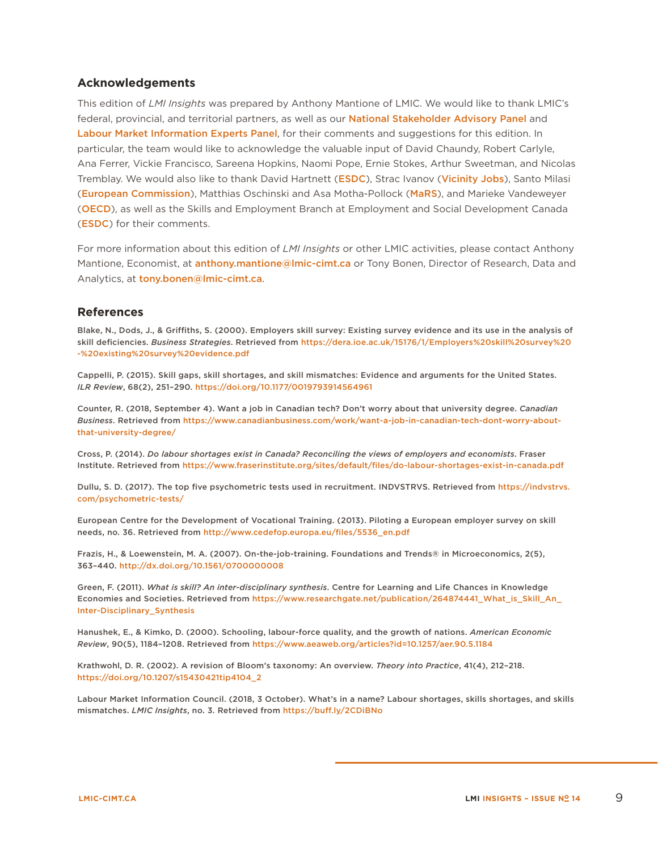#### **Acknowledgements**

This edition of *LMI Insights* was prepared by Anthony Mantione of LMIC. We would like to thank LMIC's federal, provincial, and territorial partners, as well as our [National Stakeholder Advisory Panel](https://lmic-cimt.ca/governance/#nsap) and [Labour Market Information Experts Panel](https://lmic-cimt.ca/governance/#lmix), for their comments and suggestions for this edition. In particular, the team would like to acknowledge the valuable input of David Chaundy, Robert Carlyle, Ana Ferrer, Vickie Francisco, Sareena Hopkins, Naomi Pope, Ernie Stokes, Arthur Sweetman, and Nicolas Tremblay. We would also like to thank David Hartnett ([ESDC](https://www.canada.ca/en/employment-social-development.html)), Strac Ivanov ([Vicinity Jobs](http://www.vicinityjobs.com/)), Santo Milasi ([European Commission](https://ec.europa.eu/commission/index_en)), Matthias Oschinski and Asa Motha-Pollock ([MaRS](https://www.marsdd.com/)), and Marieke Vandeweyer ([OECD](http://www.oecd.org/)), as well as the Skills and Employment Branch at Employment and Social Development Canada ([ESDC](https://www.canada.ca/en/employment-social-development.html)) for their comments.

For more information about this edition of *LMI Insights* or other LMIC activities, please contact Anthony Mantione, Economist, at **[anthony.mantione@lmic-cimt.ca](mailto:anthony.mantione@lmic-cimt.ca)** or Tony Bonen, Director of Research, Data and Analytics, at [tony.bonen@lmic-cimt.ca](mailto:tony.bonen@lmic-cimt.ca).

#### **References**

Blake, N., Dods, J., & Griffiths, S. (2000). Employers skill survey: Existing survey evidence and its use in the analysis of skill deficiencies. *Business Strategies*. Retrieved from [https://dera.ioe.ac.uk/15176/1/Employers%20skill%20survey%20](https://dera.ioe.ac.uk/15176/1/Employers%20skill%20survey%20-%20existing%20survey%20evidence.pdf) [-%20existing%20survey%20evidence.pdf](https://dera.ioe.ac.uk/15176/1/Employers%20skill%20survey%20-%20existing%20survey%20evidence.pdf)

Cappelli, P. (2015). Skill gaps, skill shortages, and skill mismatches: Evidence and arguments for the United States. *ILR Review*, 68(2), 251–290. <https://doi.org/10.1177/0019793914564961>

Counter, R. (2018, September 4). Want a job in Canadian tech? Don't worry about that university degree. *Canadian Business*. Retrieved from [https://www.canadianbusiness.com/work/want-a-job-in-canadian-tech-dont-worry-about](https://www.canadianbusiness.com/work/want-a-job-in-canadian-tech-dont-worry-about-that-university-d)[that-university-degree/](https://www.canadianbusiness.com/work/want-a-job-in-canadian-tech-dont-worry-about-that-university-d)

Cross, P. (2014). *Do labour shortages exist in Canada? Reconciling the views of employers and economists*. Fraser Institute. Retrieved from <https://www.fraserinstitute.org/sites/default/files/do-labour-shortages-exist-in-canada.pdf>

Dullu, S. D. (2017). The top five psychometric tests used in recruitment. INDVSTRVS. Retrieved from [https://indvstrvs.](https://indvstrvs.com/psychometric-tests/) [com/psychometric-tests/](https://indvstrvs.com/psychometric-tests/)

European Centre for the Development of Vocational Training. (2013). Piloting a European employer survey on skill needs, no. 36. Retrieved from [http://www.cedefop.europa.eu/files/5536\\_en.pdf](http://www.cedefop.europa.eu/files/5536_en.pdf)

Frazis, H., & Loewenstein, M. A. (2007). On-the-job-training. Foundations and Trends® in Microeconomics, 2(5), 363–440.<http://dx.doi.org/10.1561/0700000008>

Green, F. (2011). *What is skill? An inter-disciplinary synthesis*. Centre for Learning and Life Chances in Knowledge Economies and Societies. Retrieved from [https://www.researchgate.net/publication/264874441\\_What\\_is\\_Skill\\_An\\_](https://www.researchgate.net/publication/264874441_What_is_Skill_An_Inter-Disciplinary_Synthesis) [Inter-Disciplinary\\_Synthesis](https://www.researchgate.net/publication/264874441_What_is_Skill_An_Inter-Disciplinary_Synthesis)

Hanushek, E., & Kimko, D. (2000). Schooling, labour-force quality, and the growth of nations. *American Economic Review*, 90(5), 1184–1208. Retrieved from <https://www.aeaweb.org/articles?id=10.1257/aer.90.5.1184>

Krathwohl, D. R. (2002). A revision of Bloom's taxonomy: An overview. *Theory into Practice*, 41(4), 212–218. [https://doi.org/10.1207/s15430421tip4104\\_2](https://doi.org/10.1207/s15430421tip4104_2)

Labour Market Information Council. (2018, 3 October). What's in a name? Labour shortages, skills shortages, and skills mismatches. *LMIC Insights*, no. 3. Retrieved from<https://buff.ly/2CDiBNo>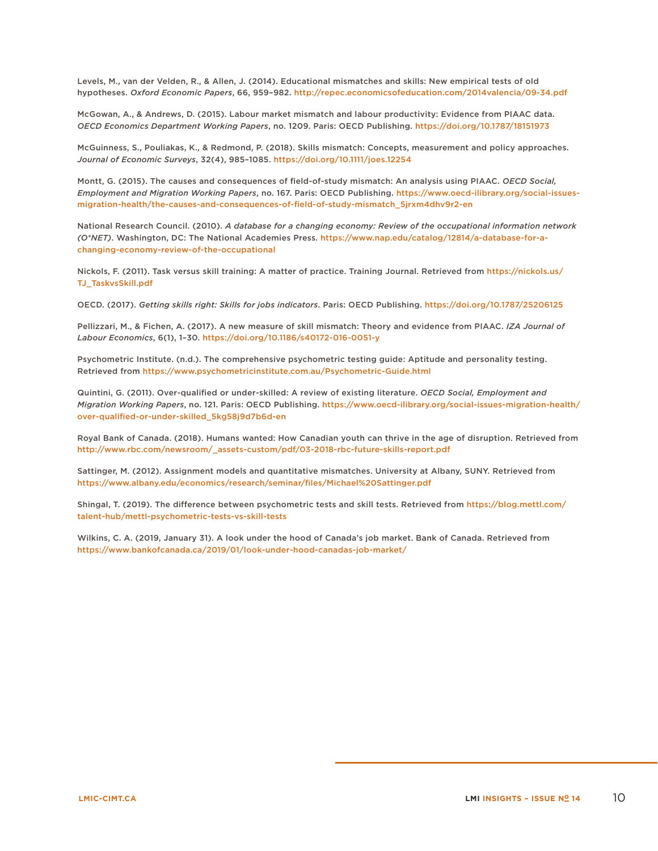Levels, M., van der Velden, R., & Allen, J. (2014). Educational mismatches and skills: New empirical tests of old hypotheses. *Oxford Economic Papers*, 66, 959–982. <http://repec.economicsofeducation.com/2014valencia/09-34.pdf>

McGowan, A., & Andrews, D. (2015). Labour market mismatch and labour productivity: Evidence from PIAAC data. *OECD Economics Department Working Papers*, no. 1209. Paris: OECD Publishing. <https://doi.org/10.1787/18151973>

McGuinness, S., Pouliakas, K., & Redmond, P. (2018). Skills mismatch: Concepts, measurement and policy approaches. *Journal of Economic Surveys*, 32(4), 985–1085. <https://doi.org/10.1111/joes.12254>

Montt, G. (2015). The causes and consequences of field-of-study mismatch: An analysis using PIAAC. *OECD Social, Employment and Migration Working Papers*, no. 167. Paris: OECD Publishing. [https://www.oecd-ilibrary.org/social-issues](https://www.oecd-ilibrary.org/social-issues-migration-health/the-causes-and-consequences-of-field-of-study-mismatch_5jrxm4dhv9r2-en)[migration-health/the-causes-and-consequences-of-field-of-study-mismatch\\_5jrxm4dhv9r2-en](https://www.oecd-ilibrary.org/social-issues-migration-health/the-causes-and-consequences-of-field-of-study-mismatch_5jrxm4dhv9r2-en)

National Research Council. (2010). *A database for a changing economy: Review of the occupational information network (O\*NET)*. Washington, DC: The National Academies Press. [https://www.nap.edu/catalog/12814/a-database-for-a](https://www.nap.edu/catalog/12814/a-database-for-a-changing-economy-review-of-the-occupational)[changing-economy-review-of-the-occupational](https://www.nap.edu/catalog/12814/a-database-for-a-changing-economy-review-of-the-occupational)

Nickols, F. (2011). Task versus skill training: A matter of practice. Training Journal. Retrieved from [https://nickols.us/](https://nickols.us/TJ_TaskvsSkill.pdf) [TJ\\_TaskvsSkill.pdf](https://nickols.us/TJ_TaskvsSkill.pdf)

OECD. (2017). *Getting skills right: Skills for jobs indicators*. Paris: OECD Publishing.<https://doi.org/10.1787/25206125>

Pellizzari, M., & Fichen, A. (2017). A new measure of skill mismatch: Theory and evidence from PIAAC. *IZA Journal of Labour Economics*, 6(1), 1–30. <https://doi.org/10.1186/s40172-016-0051-y>

Psychometric Institute. (n.d.). The comprehensive psychometric testing guide: Aptitude and personality testing. Retrieved from <https://www.psychometricinstitute.com.au/Psychometric-Guide.html>

Quintini, G. (2011). Over-qualified or under-skilled: A review of existing literature. *OECD Social, Employment and Migration Working Papers*, no. 121. Paris: OECD Publishing. [https://www.oecd-ilibrary.org/social-issues-migration-health/](https://www.oecd-ilibrary.org/social-issues-migration-health/over-qualified-or-under-skilled_5kg58j9d7b6d-en) [over-qualified-or-under-skilled\\_5kg58j9d7b6d-en](https://www.oecd-ilibrary.org/social-issues-migration-health/over-qualified-or-under-skilled_5kg58j9d7b6d-en)

Royal Bank of Canada. (2018). Humans wanted: How Canadian youth can thrive in the age of disruption. Retrieved from [http://www.rbc.com/newsroom/\\_assets-custom/pdf/03-2018-rbc-future-skills-report.pdf](http://www.rbc.com/newsroom/_assets-custom/pdf/03-2018-rbc-future-skills-report.pdf)

Sattinger, M. (2012). Assignment models and quantitative mismatches. University at Albany, SUNY. Retrieved from <https://www.albany.edu/economics/research/seminar/files/Michael%20Sattinger.pdf>

Shingal, T. (2019). The difference between psychometric tests and skill tests. Retrieved from [https://blog.mettl.com/](https://blog.mettl.com/talent-hub/mettl-psychometric-tests-vs-skill-tests) [talent-hub/mettl-psychometric-tests-vs-skill-tests](https://blog.mettl.com/talent-hub/mettl-psychometric-tests-vs-skill-tests)

Wilkins, C. A. (2019, January 31). A look under the hood of Canada's job market. Bank of Canada. Retrieved from <https://www.bankofcanada.ca/2019/01/look-under-hood-canadas-job-market/>